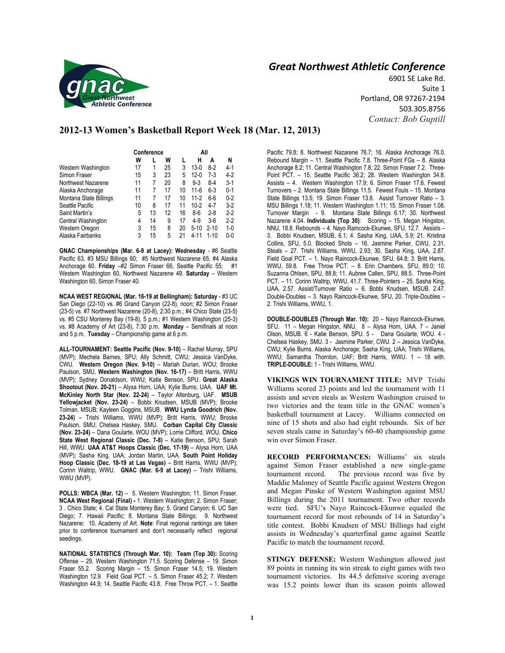

# *Great Northwest Athletic Conference*

6901 SE Lake Rd. Suite 1 Portland, OR 97267-2194 503.305.8756 *Contact: Bob Guptill* 

# **2012-13 Women's Basketball Report Week 18 (Mar. 12, 2013)**

|                        | Conference |    |    | All |          |          |         |
|------------------------|------------|----|----|-----|----------|----------|---------|
|                        | W          |    | W  |     | Н        | Α        | N       |
| Western Washington     | 17         |    | 25 | 3   | $13-0$   | $8-2$    | $4-1$   |
| Simon Fraser           | 15         | 3  | 23 | 5   | $12-0$   | $7-3$    | $4-2$   |
| Northwest Nazarene     | 11         | 7  | 20 | 8   | $9 - 3$  | $8-4$    | $3-1$   |
| Alaska Anchorage       | 11         | 7  | 17 | 10  | $11 - 6$ | $6 - 3$  | $0 - 1$ |
| Montana State Billings | 11         | 7  | 17 | 10  | $11 - 2$ | $6-6$    | $0 - 2$ |
| Seattle Pacific        | 10         | 8  | 17 | 11  | $10-2$   | 4-7      | $3-2$   |
| Saint Martin's         | 5          | 13 | 12 | 16  | $8-6$    | $2 - 8$  | $2 - 2$ |
| Central Washington     | 4          | 14 | 9  | 17  | $4-9$    | $3-6$    | $2-2$   |
| Western Oregon         | 3          | 15 | 8  | 20  | $5 - 10$ | $2 - 10$ | $1-0$   |
| Alaska Fairbanks       | 3          | 15 | 5  | 21  | 4-11     | $1 - 10$ | $0 - 0$ |

**GNAC Championships (Mar. 6-9 at Lacey): Wednesday** - #6 Seattle Pacific 63, #3 MSU Billings 60; #5 Northwest Nazarene 65, #4 Alaska Anchorage 60. **Friday** –#2 Simon Fraser 66, Seattle Pacific 55; #1 Western Washington 60, Northwest Nazarene 49. **Saturday** – Western Washington 60, Simon Fraser 40.

**NCAA WEST REGIONAL (Mar. 16-19 at Bellingham): Saturday** - #3 UC San Diego (22-10) vs. #6 Grand Canyon (22-8), noon; #2 Simon Fraser (23-5) vs. #7 Northwest Nazarene (20-8), 2:30 p.m.; #4 Chico State (23-5) vs. #5 CSU Monterey Bay (19-8), 5 p.m.; #1 Western Washington (25-3) vs. #8 Academy of Art (23-8), 7:30 p.m. **Monday** – Semifinals at noon and 5 p.m. **Tuesday** – Championship game at 6 p.m.

**ALL-TOURNAMENT: Seattle Pacific (Nov. 9-10)** – Rachel Murray, SPU (MVP); Mechela Barnes, SPU; Ally Schmitt, CWU; Jessica VanDyke, CWU. **Western Oregon (Nov. 9-10)** – Mariah Durian, WOU; Brooke Paulson, SMU, **Western Washington (Nov. 16-17)** – Britt Harris, WWU (MVP); Sydney Donaldson, WWU; Katie Benson, SPU. **Great Alaska Shootout (Nov. 20-21)** – Alysa Horn, UAA; Kylie Burns, UAA. **UAF Mt. McKinley North Star (Nov. 22-24)** – Taylor Altenburg, UAF. **MSUB Yellowjacket (Nov. 23-24)** – Bobbi Knudsen, MSUB (MVP); Brooke Tolman, MSUB; Kayleen Goggins, MSUB. **WWU Lynda Goodrich (Nov. 23-24)** – Trishi Williams, WWU (MVP); Britt Harris, WWU; Brooke Paulson, SMU; Chelsea Haskey, SMU. **Corban Capital City Classic (Nov. 23-24)** – Dana Goularte, WOU (MVP); Lorrie Clifford, WOU. **Chico State West Regional Classic (Dec. 7-8)** – Katie Benson, SPU; Sarah Hill, WWU. UAA AT&T Hoops Classic (Dec. 17-19) - Alysa Horn, UAA (MVP); Sasha King, UAA; Jordan Martin, UAA. **South Point Holiday Hoop Classic (Dec. 18-19 at Las Vegas)** – Britt Harris, WWU (MVP); Corinn Waltrip, WWU. **GNAC (Mar. 6-9 at Lacey)** – Trishi Williams, WWU (MVP).

**POLLS: WBCA (Mar. 12)** – 5. Western Washington; 11. Simon Fraser. **NCAA West Regional (Final) -** 1. Western Washington; 2. Simon Fraser; 3 . Chico State; 4. Cal State Monterey Bay; 5. Grand Canyon; 6. UC San Diego; 7. Hawaii Pacific; 8. Montana State Billings; 9. Northwest Nazarene; 10. Academy of Art. **Note**: Final regional rankings are taken prior to conference tournament and don't necessarily reflect regional seedings.

**NATIONAL STATISTICS (Through Mar. 10): Team (Top 30):** Scoring Offense – 29. Western Washington 71.5. Scoring Defense – 19. Simon Fraser 55.2. Scoring Margin – 15. Simon Fraser 14.5; 19. Western Washington 12.9. Field Goal PCT. – 5. Simon Fraser 45.2; 7. Western Washington 44.9; 14. Seattle Pacific 43.8. Free Throw PCT. – 1. Seattle Pacific 79.8; 8. Northwest Nazarene 76.7; 16. Alaska Anchorage 76.0. Rebound Margin – 11. Seattle Pacific 7.8. Three-Point FGs – 8. Alaska Anchorage 8.2; 11. Central Washington 7.8; 22. Simon Fraser 7.2. Three-Point PCT. – 15. Seattle Pacific 36.2; 28. Western Washington 34.8. Assists – 4. Western Washington 17.9; 6. Simon Fraser 17.6. Fewest Turnovers – 2. Montana State Billings 11.5. Fewest Fouls – 15. Montana State Billings 13.5; 19. Simon Fraser 13.8. Assist Turnover Ratio – 3. MSU Billings 1.18; 11. Western Washington 1.11; 15. Simon Fraser 1.08. Turnover Margin - 9. Montana State Billings 6.17; 30. Northwest Nazarene 4.04. **Individuals (Top 30)**: Scoring – 15. Megan Hingston, NNU, 18.8. Rebounds – 4. Nayo Raincock-Ekunwe, SFU, 12.7. Assists – 3. Bobbi Knudsen, MSUB, 6.1; 4. Sasha King, UAA, 5.9; 21. Kristina Collins, SFU, 5.0. Blocked Shots – 16. Jasmine Parker, CWU, 2.31. Steals – 27. Trishi Williams, WWU, 2.93; 30. Sasha King, UAA, 2.87. Field Goal PCT. – 1. Nayo Raincock-Ekunwe, SFU, 64.8; 3. Britt Harris, WWU, 59.8. Free Throw PCT. – 8. Erin Chambers, SFU, 89.0; 10. Suzanna Ohlsen, SPU, 88.8; 11. Aubree Callen, SPU, 88.5. Three-Point PCT. – 11. Corinn Waltrip, WWU, 41.7. Three-Pointers – 25. Sasha King, UAA, 2.57. Assist/Turnover Ratio – 6. Bobbi Knudsen, MSUB, 2.47. Double-Doubles – 3. Nayo Raincock-Ekunwe, SFU, 20. Triple-Doubles – 2. Trishi Williams, WWU, 1.

**DOUBLE-DOUBLES (Through Mar. 10):** 20 – Nayo Raincock-Ekunwe, SFU. 11 – Megan Hingston, NNU. 8 – Alysa Horn, UAA. 7 – Janiel Olson, MSUB. 6 - Katie Benson, SPU. 5 - Dana Goularte, WOU. 4 - Chelsea Haskey, SMU. 3 - Jasmine Parker, CWU. 2 – Jessica VanDyke, CWU; Kylie Burns, Alaska Anchorage; Sasha King, UAA; Trishi Williams, WWU; Samantha Thornton, UAF; Britt Harris, WWU. 1 – 18 with. **TRIPLE-DOUBLE:** 1 - Trishi Williams, WWU.

**VIKINGS WIN TOURNAMENT TITLE:** MVP Trishi Williams scored 23 points and led the tournament with 11 assists and seven steals as Western Washington cruised to two victories and the team title in the GNAC women's basketball tournament at Lacey. Williams connected on nine of 15 shots and also had eight rebounds. Six of her seven steals came in Saturday's 60-40 championship game win over Simon Fraser.

**RECORD PERFORMANCES:** Williams' six steals against Simon Fraser established a new single-game tournament record. The previous record was five by Maddie Maloney of Seattle Pacific against Western Oregon and Megan Pinske of Western Washington against MSU Billings during the 2011 tournament. Two other records were tied. SFU's Nayo Raincock-Ekunwe equaled the tournament record for most rebounds of 14 in Saturday's title contest. Bobbi Knudsen of MSU Billings had eight assists in Wednesday's quarterfinal game against Seattle Pacific to match the tournament record.

**STINGY DEFENSE:** Western Washington allowed just 89 points in running its win streak to eight games with two tournament victories. Its 44.5 defensive scoring average was 15.2 points lower than its season points allowed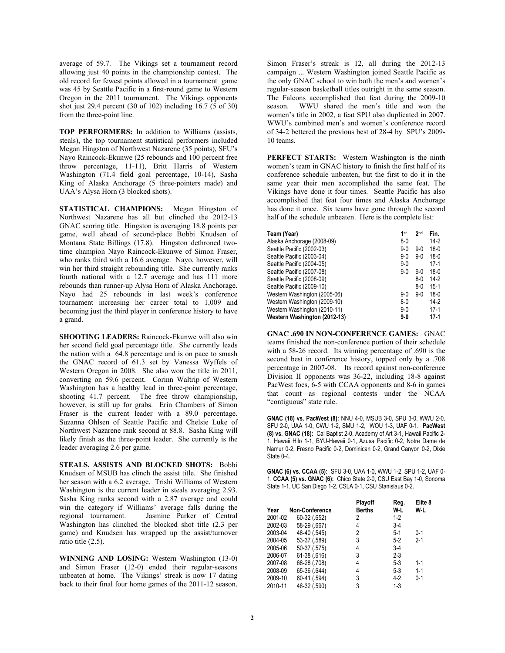average of 59.7. The Vikings set a tournament record allowing just 40 points in the championship contest. The old record for fewest points allowed in a tournament game was 45 by Seattle Pacific in a first-round game to Western Oregon in the 2011 tournament. The Vikings opponents shot just 29.4 percent (30 of 102) including 16.7 (5 of 30) from the three-point line.

**TOP PERFORMERS:** In addition to Williams (assists, steals), the top tournament statistical performers included Megan Hingston of Northwest Nazarene (35 points), SFU's Nayo Raincock-Ekunwe (25 rebounds and 100 percent free throw percentage, 11-11), Britt Harris of Western Washington (71.4 field goal percentage, 10-14), Sasha King of Alaska Anchorage (5 three-pointers made) and UAA's Alysa Horn (3 blocked shots).

**STATISTICAL CHAMPIONS:** Megan Hingston of Northwest Nazarene has all but clinched the 2012-13 GNAC scoring title. Hingston is averaging 18.8 points per game, well ahead of second-place Bobbi Knudsen of Montana State Billings (17.8). Hingston dethroned twotime champion Nayo Raincock-Ekunwe of Simon Fraser, who ranks third with a 16.6 average. Nayo, however, will win her third straight rebounding title. She currently ranks fourth national with a 12.7 average and has 111 more rebounds than runner-up Alysa Horn of Alaska Anchorage. Nayo had 25 rebounds in last week's conference tournament increasing her career total to 1,009 and becoming just the third player in conference history to have a grand.

**SHOOTING LEADERS:** Raincock-Ekunwe will also win her second field goal percentage title. She currently leads the nation with a 64.8 percentage and is on pace to smash the GNAC record of 61.3 set by Vanessa Wyffels of Western Oregon in 2008. She also won the title in 2011, converting on 59.6 percent. Corinn Waltrip of Western Washington has a healthy lead in three-point percentage, shooting 41.7 percent. The free throw championship, however, is still up for grabs. Erin Chambers of Simon Fraser is the current leader with a 89.0 percentage. Suzanna Ohlsen of Seattle Pacific and Chelsie Luke of Northwest Nazarene rank second at 88.8. Sasha King will likely finish as the three-point leader. She currently is the leader averaging 2.6 per game.

**STEALS, ASSISTS AND BLOCKED SHOTS:** Bobbi Knudsen of MSUB has clinch the assist title. She finished her season with a 6.2 average. Trishi Williams of Western Washington is the current leader in steals averaging 2.93. Sasha King ranks second with a 2.87 average and could win the category if Williams' average falls during the regional tournament. Jasmine Parker of Central Washington has clinched the blocked shot title (2.3 per game) and Knudsen has wrapped up the assist/turnover ratio title (2.5).

**WINNING AND LOSING:** Western Washington (13-0) and Simon Fraser (12-0) ended their regular-seasons unbeaten at home. The Vikings' streak is now 17 dating back to their final four home games of the 2011-12 season.

Simon Fraser's streak is 12, all during the 2012-13 campaign ... Western Washington joined Seattle Pacific as the only GNAC school to win both the men's and women's regular-season basketball titles outright in the same season. The Falcons accomplished that feat during the 2009-10 season. WWU shared the men's title and won the women's title in 2002, a feat SPU also duplicated in 2007. WWU's combined men's and women's conference record of 34-2 bettered the previous best of 28-4 by SPU's 2009- 10 teams.

**PERFECT STARTS:** Western Washington is the ninth women's team in GNAC history to finish the first half of its conference schedule unbeaten, but the first to do it in the same year their men accomplished the same feat. The Vikings have done it four times. Seattle Pacific has also accomplished that feat four times and Alaska Anchorage has done it once. Six teams have gone through the second half of the schedule unbeaten. Here is the complete list:

| Team (Year)<br>Alaska Anchorage (2008-09) | 1 <sub>st</sub><br>$8-0$ | 2 <sub>nd</sub> | Fin.<br>$14-2$ |
|-------------------------------------------|--------------------------|-----------------|----------------|
| Seattle Pacific (2002-03)                 | $9-0$                    | $9-0$           | $18-0$         |
| Seattle Pacific (2003-04)                 | $9-0$                    | $9-0$           | $18-0$         |
| Seattle Pacific (2004-05)                 | $9-0$                    |                 | $17-1$         |
| Seattle Pacific (2007-08)                 | $9-0$                    | $9-0$           | $18-0$         |
| Seattle Pacific (2008-09)                 |                          | 8-0             | $14-2$         |
| Seattle Pacific (2009-10)                 |                          | $8 - 0$         | $15-1$         |
| Western Washington (2005-06)              | 9-0                      | $9-0$           | $18-0$         |
| Western Washington (2009-10)              | $8-0$                    |                 | $14-2$         |
| Western Washington (2010-11)              | $9-0$                    |                 | $17-1$         |
| Western Washington (2012-13)              | 9-0                      |                 | 17-1           |

**GNAC .690 IN NON-CONFERENCE GAMES:** GNAC teams finished the non-conference portion of their schedule with a 58-26 record. Its winning percentage of .690 is the second best in conference history, topped only by a .708 percentage in 2007-08. Its record against non-conference Division II opponents was 36-22, including 18-8 against PacWest foes, 6-5 with CCAA opponents and 8-6 in games that count as regional contests under the NCAA "contiguous" state rule.

**GNAC (18) vs. PacWest (8):** NNU 4-0, MSUB 3-0, SPU 3-0, WWU 2-0, SFU 2-0, UAA 1-0, CWU 1-2, SMU 1-2, WOU 1-3, UAF 0-1. **PacWest (8) vs. GNAC (18):** Cal Baptist 2-0, Academy of Art 3-1, Hawaii Pacific 2- 1, Hawaii Hilo 1-1, BYU-Hawaii 0-1, Azusa Pacific 0-2, Notre Dame de Namur 0-2, Fresno Pacific 0-2, Dominican 0-2, Grand Canyon 0-2, Dixie State 0-4.

**GNAC (6) vs. CCAA (5):** SFU 3-0, UAA 1-0, WWU 1-2, SPU 1-2, UAF 0- 1. **CCAA (5) vs. GNAC (6):** Chico State 2-0, CSU East Bay 1-0, Sonoma State 1-1, UC San Diego 1-2, CSLA 0-1, CSU Stanislaus 0-2.

|         |                       | Playoff | Reg.    | Elite 8 |
|---------|-----------------------|---------|---------|---------|
| Year    | <b>Non-Conference</b> | Berths  | W-L     | W-L     |
| 2001-02 | 60-32 (.652)          | 2       | $1-2$   |         |
| 2002-03 | 58-29 (.667)          | 4       | $3-4$   |         |
| 2003-04 | 48-40 (.545)          | 2       | $5-1$   | $0 - 1$ |
| 2004-05 | 53-37 (.589)          | 3       | $5-2$   | $2 - 1$ |
| 2005-06 | 50-37 (.575)          | 4       | $3-4$   |         |
| 2006-07 | $61-38(616)$          | 3       | $2 - 3$ |         |
| 2007-08 | 68-28 (.708)          | 4       | $5-3$   | $1 - 1$ |
| 2008-09 | 65-36 (.644)          | 4       | $5-3$   | $1 - 1$ |
| 2009-10 | 60-41 (.594)          | 3       | $4-2$   | $0 - 1$ |
| 2010-11 | 46-32 (.590)          | 3       | $1 - 3$ |         |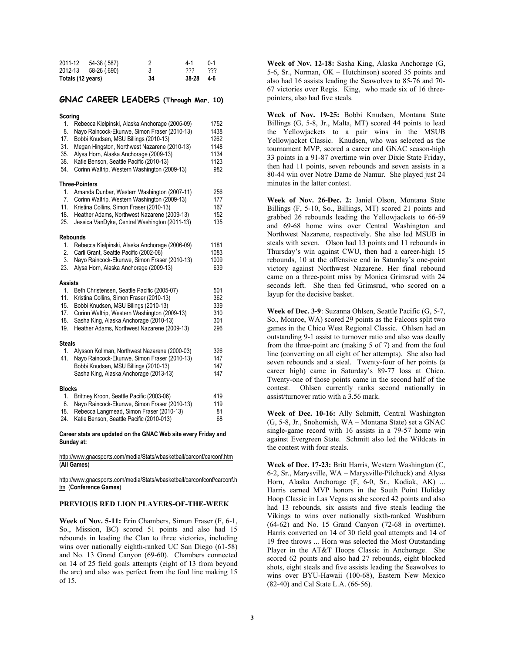| 2011-12           | 54-38 (.587)         |    | 4-1   | $(1 - 1)$ |
|-------------------|----------------------|----|-------|-----------|
|                   | 2012-13 58-26 (.690) |    | 222   | ???       |
| Totals (12 years) |                      | 34 | 38-28 | 4-6       |

## **GNAC CAREER LEADERS (Through Mar. 10)**

#### **Scoring**

| <b>ocoring</b>                              |                                                                                                                                                                                                                                                                                                                              |                                                     |
|---------------------------------------------|------------------------------------------------------------------------------------------------------------------------------------------------------------------------------------------------------------------------------------------------------------------------------------------------------------------------------|-----------------------------------------------------|
| 1.<br>8.<br>17.<br>31.<br>35.<br>38.<br>54. | Rebecca Kielpinski, Alaska Anchorage (2005-09)<br>Nayo Raincock-Ekunwe, Simon Fraser (2010-13)<br>Bobbi Knudsen, MSU Billings (2010-13)<br>Megan Hingston, Northwest Nazarene (2010-13)<br>Alysa Horn, Alaska Anchorage (2009-13)<br>Katie Benson, Seattle Pacific (2010-13)<br>Corinn Waltrip, Western Washington (2009-13) | 1752<br>1438<br>1262<br>1148<br>1134<br>1123<br>982 |
|                                             | <b>Three-Pointers</b>                                                                                                                                                                                                                                                                                                        |                                                     |
| 1.<br>7.<br>11.<br>18.<br>25.               | Amanda Dunbar, Western Washington (2007-11)<br>Corinn Waltrip, Western Washington (2009-13)<br>Kristina Collins, Simon Fraser (2010-13)<br>Heather Adams, Northwest Nazarene (2009-13)<br>Jessica VanDyke, Central Washington (2011-13)                                                                                      | 256<br>177<br>167<br>152<br>135                     |
|                                             | Rebounds                                                                                                                                                                                                                                                                                                                     |                                                     |
| 1.<br>2.<br>3.<br>23.                       | Rebecca Kielpinski, Alaska Anchorage (2006-09)<br>Carli Grant, Seattle Pacific (2002-06)<br>Nayo Raincock-Ekunwe, Simon Fraser (2010-13)<br>Alysa Horn, Alaska Anchorage (2009-13)                                                                                                                                           | 1181<br>1083<br>1009<br>639                         |
| <b>Assists</b>                              |                                                                                                                                                                                                                                                                                                                              |                                                     |
| 1.<br>11.<br>15.<br>17.<br>18.<br>19.       | Beth Christensen, Seattle Pacific (2005-07)<br>Kristina Collins, Simon Fraser (2010-13)<br>Bobbi Knudsen, MSU Bilings (2010-13)<br>Corinn Waltrip, Western Washington (2009-13)<br>Sasha King, Alaska Anchorage (2010-13)<br>Heather Adams, Northwest Nazarene (2009-13)                                                     | 501<br>362<br>339<br>310<br>301<br>296              |
| <b>Steals</b>                               |                                                                                                                                                                                                                                                                                                                              |                                                     |
| 1.<br>41.                                   | Alysson Kollman, Northwest Nazarene (2000-03)<br>Nayo Raincock-Ekunwe, Simon Fraser (2010-13)<br>Bobbi Knudsen, MSU Billings (2010-13)<br>Sasha King, Alaska Anchorage (2013-13)                                                                                                                                             | 326<br>147<br>147<br>147                            |
| <b>Blocks</b>                               |                                                                                                                                                                                                                                                                                                                              |                                                     |
| 1.<br>8.<br>18.<br>24.                      | Brittney Kroon, Seattle Pacific (2003-06)<br>Nayo Raincock-Ekunwe, Simon Fraser (2010-13)<br>Rebecca Langmead, Simon Fraser (2010-13)<br>Katie Benson, Seattle Pacific (2010-013)                                                                                                                                            | 419<br>119<br>81<br>68                              |
|                                             | Career stats are updated on the GNAC Web site every Friday and                                                                                                                                                                                                                                                               |                                                     |

**Sunday at:** 

http://www.gnacsports.com/media/Stats/wbasketball/carconf/carconf.htm (**All Games**)

http://www.gnacsports.com/media/Stats/wbasketball/carconfconf/carconf.h tm (**Conference Games**)

### **PREVIOUS RED LION PLAYERS-OF-THE-WEEK**

**Week of Nov. 5-11:** Erin Chambers, Simon Fraser (F, 6-1, So., Mission, BC) scored 51 points and also had 15 rebounds in leading the Clan to three victories, including wins over nationally eighth-ranked UC San Diego (61-58) and No. 13 Grand Canyon (69-60). Chambers connected on 14 of 25 field goals attempts (eight of 13 from beyond the arc) and also was perfect from the foul line making 15 of 15.

**Week of Nov. 12-18:** Sasha King, Alaska Anchorage (G, 5-6, Sr., Norman, OK – Hutchinson) scored 35 points and also had 16 assists leading the Seawolves to 85-76 and 70- 67 victories over Regis. King, who made six of 16 threepointers, also had five steals.

**Week of Nov. 19-25:** Bobbi Knudsen, Montana State Billings (G, 5-8, Jr., Malta, MT) scored 44 points to lead the Yellowjackets to a pair wins in the MSUB Yellowjacket Classic. Knudsen, who was selected as the tournament MVP, scored a career and GNAC season-high 33 points in a 91-87 overtime win over Dixie State Friday, then had 11 points, seven rebounds and seven assists in a 80-44 win over Notre Dame de Namur. She played just 24 minutes in the latter contest.

**Week of Nov. 26-Dec. 2:** Janiel Olson, Montana State Billings (F, 5-10, So., Billings, MT) scored 21 points and grabbed 26 rebounds leading the Yellowjackets to 66-59 and 69-68 home wins over Central Washington and Northwest Nazarene, respectively. She also led MSUB in steals with seven. Olson had 13 points and 11 rebounds in Thursday's win against CWU, then had a career-high 15 rebounds, 10 at the offensive end in Saturday's one-point victory against Northwest Nazarene. Her final rebound came on a three-point miss by Monica Grimsrud with 24 seconds left. She then fed Grimsrud, who scored on a layup for the decisive basket.

**Week of Dec. 3-9**: Suzanna Ohlsen, Seattle Pacific (G, 5-7, So., Monroe, WA) scored 29 points as the Falcons split two games in the Chico West Regional Classic. Ohlsen had an outstanding 9-1 assist to turnover ratio and also was deadly from the three-point arc (making 5 of 7) and from the foul line (converting on all eight of her attempts). She also had seven rebounds and a steal. Twenty-four of her points (a career high) came in Saturday's 89-77 loss at Chico. Twenty-one of those points came in the second half of the contest. Ohlsen currently ranks second nationally in assist/turnover ratio with a 3.56 mark.

**Week of Dec. 10-16:** Ally Schmitt, Central Washington (G, 5-8, Jr., Snohomish, WA – Montana State) set a GNAC single-game record with 16 assists in a 79-57 home win against Evergreen State. Schmitt also led the Wildcats in the contest with four steals.

**Week of Dec. 17-23:** Britt Harris, Western Washington (C, 6-2, Sr., Marysville, WA – Marysville-Pilchuck) and Alysa Horn, Alaska Anchorage (F, 6-0, Sr., Kodiak, AK) ... Harris earned MVP honors in the South Point Holiday Hoop Classic in Las Vegas as she scored 42 points and also had 13 rebounds, six assists and five steals leading the Vikings to wins over nationally sixth-ranked Washburn (64-62) and No. 15 Grand Canyon (72-68 in overtime). Harris converted on 14 of 30 field goal attempts and 14 of 19 free throws ... Horn was selected the Most Outstanding Player in the AT&T Hoops Classic in Anchorage. She scored 62 points and also had 27 rebounds, eight blocked shots, eight steals and five assists leading the Seawolves to wins over BYU-Hawaii (100-68), Eastern New Mexico (82-40) and Cal State L.A. (66-56).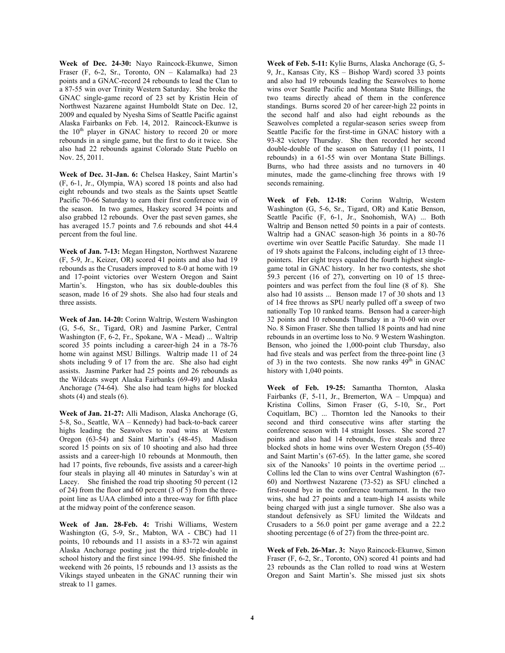**Week of Dec. 24-30:** Nayo Raincock-Ekunwe, Simon Fraser (F, 6-2, Sr., Toronto, ON – Kalamalka) had 23 points and a GNAC-record 24 rebounds to lead the Clan to a 87-55 win over Trinity Western Saturday. She broke the GNAC single-game record of 23 set by Kristin Hein of Northwest Nazarene against Humboldt State on Dec. 12, 2009 and equaled by Nyesha Sims of Seattle Pacific against Alaska Fairbanks on Feb. 14, 2012. Raincock-Ekunwe is the  $10<sup>th</sup>$  player in GNAC history to record 20 or more rebounds in a single game, but the first to do it twice. She also had 22 rebounds against Colorado State Pueblo on Nov. 25, 2011.

**Week of Dec. 31-Jan. 6:** Chelsea Haskey, Saint Martin's (F, 6-1, Jr., Olympia, WA) scored 18 points and also had eight rebounds and two steals as the Saints upset Seattle Pacific 70-66 Saturday to earn their first conference win of the season. In two games, Haskey scored 34 points and also grabbed 12 rebounds. Over the past seven games, she has averaged 15.7 points and 7.6 rebounds and shot 44.4 percent from the foul line.

**Week of Jan. 7-13:** Megan Hingston, Northwest Nazarene (F, 5-9, Jr., Keizer, OR) scored 41 points and also had 19 rebounds as the Crusaders improved to 8-0 at home with 19 and 17-point victories over Western Oregon and Saint Martin's. Hingston, who has six double-doubles this season, made 16 of 29 shots. She also had four steals and three assists.

**Week of Jan. 14-20:** Corinn Waltrip, Western Washington (G, 5-6, Sr., Tigard, OR) and Jasmine Parker, Central Washington (F, 6-2, Fr., Spokane, WA - Mead) ... Waltrip scored 35 points including a career-high 24 in a 78-76 home win against MSU Billings. Waltrip made 11 of 24 shots including 9 of 17 from the arc. She also had eight assists. Jasmine Parker had 25 points and 26 rebounds as the Wildcats swept Alaska Fairbanks (69-49) and Alaska Anchorage (74-64). She also had team highs for blocked shots (4) and steals (6).

**Week of Jan. 21-27:** Alli Madison, Alaska Anchorage (G, 5-8, So., Seattle, WA – Kennedy) had back-to-back career highs leading the Seawolves to road wins at Western Oregon (63-54) and Saint Martin's (48-45). Madison scored 15 points on six of 10 shooting and also had three assists and a career-high 10 rebounds at Monmouth, then had 17 points, five rebounds, five assists and a career-high four steals in playing all 40 minutes in Saturday's win at Lacey. She finished the road trip shooting 50 percent (12) of 24) from the floor and 60 percent (3 of 5) from the threepoint line as UAA climbed into a three-way for fifth place at the midway point of the conference season.

**Week of Jan. 28-Feb. 4:** Trishi Williams, Western Washington (G, 5-9, Sr., Mabton, WA - CBC) had 11 points, 10 rebounds and 11 assists in a 83-72 win against Alaska Anchorage posting just the third triple-double in school history and the first since 1994-95. She finished the weekend with 26 points, 15 rebounds and 13 assists as the Vikings stayed unbeaten in the GNAC running their win streak to 11 games.

**Week of Feb. 5-11:** Kylie Burns, Alaska Anchorage (G, 5- 9, Jr., Kansas City, KS – Bishop Ward) scored 33 points and also had 19 rebounds leading the Seawolves to home wins over Seattle Pacific and Montana State Billings, the two teams directly ahead of them in the conference standings. Burns scored 20 of her career-high 22 points in the second half and also had eight rebounds as the Seawolves completed a regular-season series sweep from Seattle Pacific for the first-time in GNAC history with a 93-82 victory Thursday. She then recorded her second double-double of the season on Saturday (11 points, 11 rebounds) in a 61-55 win over Montana State Billings. Burns, who had three assists and no turnovers in 40 minutes, made the game-clinching free throws with 19 seconds remaining.

**Week of Feb. 12-18:** Corinn Waltrip, Western Washington (G, 5-6, Sr., Tigard, OR) and Katie Benson, Seattle Pacific (F, 6-1, Jr., Snohomish, WA) ... Both Waltrip and Benson netted 50 points in a pair of contests. Waltrip had a GNAC season-high 36 points in a 80-76 overtime win over Seattle Pacific Saturday. She made 11 of 19 shots against the Falcons, including eight of 13 threepointers. Her eight treys equaled the fourth highest singlegame total in GNAC history. In her two contests, she shot 59.3 percent (16 of 27), converting on 10 of 15 threepointers and was perfect from the foul line (8 of 8). She also had 10 assists ... Benson made 17 of 30 shots and 13 of 14 free throws as SPU nearly pulled off a sweep of two nationally Top 10 ranked teams. Benson had a career-high 32 points and 10 rebounds Thursday in a 70-60 win over No. 8 Simon Fraser. She then tallied 18 points and had nine rebounds in an overtime loss to No. 9 Western Washington. Benson, who joined the 1,000-point club Thursday, also had five steals and was perfect from the three-point line (3) of 3) in the two contests. She now ranks  $49<sup>th</sup>$  in GNAC history with 1,040 points.

**Week of Feb. 19-25:** Samantha Thornton, Alaska Fairbanks  $(F, 5-11, Jr.,$  Bremerton,  $WA - Umpaua)$  and Kristina Collins, Simon Fraser (G, 5-10, Sr., Port Coquitlam, BC) ... Thornton led the Nanooks to their second and third consecutive wins after starting the conference season with 14 straight losses. She scored 27 points and also had 14 rebounds, five steals and three blocked shots in home wins over Western Oregon (55-40) and Saint Martin's (67-65). In the latter game, she scored six of the Nanooks' 10 points in the overtime period ... Collins led the Clan to wins over Central Washington (67- 60) and Northwest Nazarene (73-52) as SFU clinched a first-round bye in the conference tournament. In the two wins, she had 27 points and a team-high 14 assists while being charged with just a single turnover. She also was a standout defensively as SFU limited the Wildcats and Crusaders to a 56.0 point per game average and a 22.2 shooting percentage (6 of 27) from the three-point arc.

**Week of Feb. 26-Mar. 3:** Nayo Raincock-Ekunwe, Simon Fraser (F, 6-2, Sr., Toronto, ON) scored 41 points and had 23 rebounds as the Clan rolled to road wins at Western Oregon and Saint Martin's. She missed just six shots